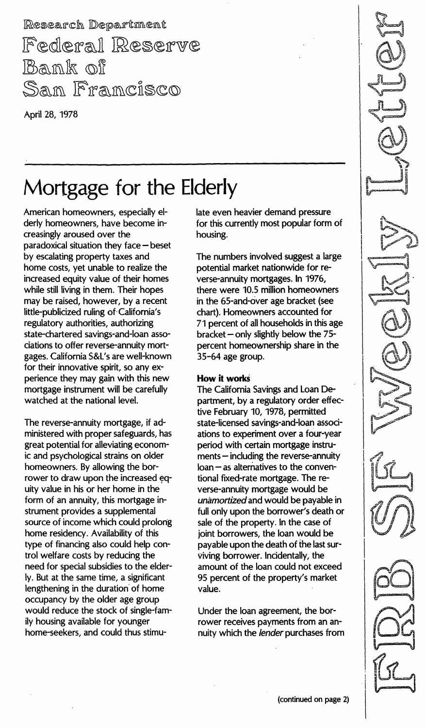Research Department Federal Reserve Bank of San Francisco

April 28, 1978

## Mortgage for the Elderly

American homeowners, especially elderly homeowners, have become increasingly aroused over the paradoxical situation they face - beset by escalating property taxes and home costs, yet unable to realize the increased equity value of their homes while still living in them. Their hopes may be raised, however, by a recent little-publicized ruling of- California's regulatory authorities, authorizing state-chartered savings-and-Ioan associations to offer reverse-annuity mortgages. California S&L's are well-known for their innovative spirit, so any experience they may gain with this new mortgage instrument will be carefully watched at the national level.

The reverse-annuity mortgage, if administered with proper safeguards, has great potential for alleviating economic and psychological strains on older homeowners. By allowing the borrower to draw upon the increased uity value in his or her home in the form of an annuity, this mortgage instrument provides a supplemental source of income which could prolong home residency. Availability of this type of financing also could help control welfare costs by reducing the need for special subsidies to the elderly. But at the same time, a significant lengthening in the duration of home occupancy by the older age group would reduce the stock of single-family housing available for younger home-seekers, and could thus stimulate even heavier demand pressure for this currently most popular form of housing.

The numbers involved suggest a large potential market nationwide for reverse-annuity mortgages. In 1976, there were 10.5 million homeowners in the 65-and-over age bracket (see chart). Homeowners accounted for 71 percent of all households in this age bracket  $-$  only slightly below the  $75$ percent homeownership share in the 35-64 age group.

#### How it works

The California Savings and Loan Department, by a regulatory order effective February 10, 1978, permitted state-licensed savings-and-Ioan associations to experiment over a four-year period with certain mortgage instru $ments - including the reverse-annuity$ loan - as alternatives to the conventional fixed-rate mortgage. The reverse-annuity mortgage would be unamortized and would be payable in full only upon the borrower's death or sale of the property. In the case of joint borrowers, the loan would be payable upon the death of the last surviving borrower. Incidentally, the amount of the loan could not exceed 95 percent of the property's market value.

Under the loan agreement, the borrower receives payments from an annuity which the lender purchases from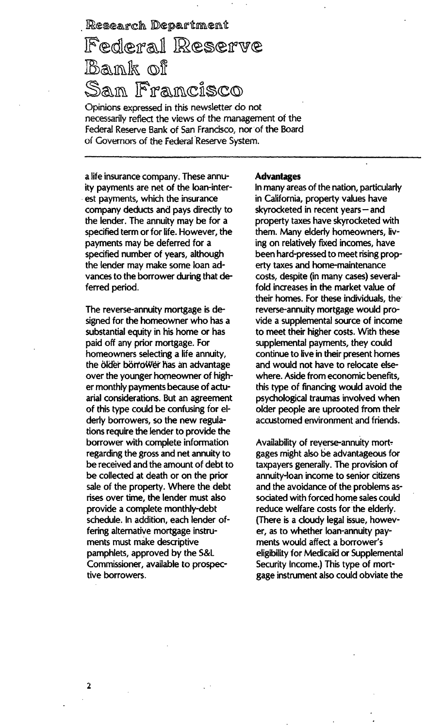# Research Department<br>|Fed|era|| |Reserve Bank of San Francisco

Opinions expressed in this newsletter do not necessarily reflect the views of the management of the Federal Reserve Bank of San Francisco, nor of the Board of Governors of the Federal Reserve System.

a life insurance company. These annuity payments are net of the loan-interest payments, which the insurance company deducts and pays directly to the lender. The annuity may be for a specified term or for life. However, the payments may be deferred for a specified number of years, although the lender may make some loan advances to the borrower during that deferred period.

The reverse-annuity mortgage is designed for the homeowner who has a substantial equity in his home or has paid off any prior mortgage. For homeowners selecting a life annuity, the ölder börrower has an advantage over the younger homeowner of higher monthly payments because of actuarial considerations. But an agreement of this type could be confusing for elderly borrowers, so the new regulations require the lender to provide the borrower with complete information regarding the gross and net annuity to be received and the amount of debt to be collected at death or on the prior sale of the property. Where the debt rises over time, the lender must also provide a complete monthly-debt schedule. In addition, each lender offering alternative mortgage instruments must make descriptive pamphlets, approved by the S&L Commissioner, available to prospective borrowers.

#### Advantages

In many areas of the nation, particularly in California, property values have skyrocketed in recent years - and property taxes have skyrocketed with them. Many elderly homeowners, living on relatively fixed incomes, have been hard-pressed to meet rising property taxes and home-maintenance costs, despite (in many cases) severalfold increases in the market value of their homes. For these individuals, the reverse-annuity mortgage would provide a supplemental source of income to meet their higher costs. With these supplemental payments, they could continue to live in their present homes and would not have to relocate elsewhere. Aside from economic benefits, this type of financing would avoid the psychological traumas involved when older people are uprooted from their accustomed environment and friends.

Availability of reverse-annuity mortgages might also be advantageous for taxpayers generally. The provision of annuity-loan income to senior citizens and the avoidance of the problems associated with forced home sales could reduce welfare costs for the elderly. (There is a cloudy legal issue, however, as to whether loan-annuity payments would affect a borrower's eligibility for Medicaid or Supplemental Security Income.) This type of mortgage instrument also could obviate the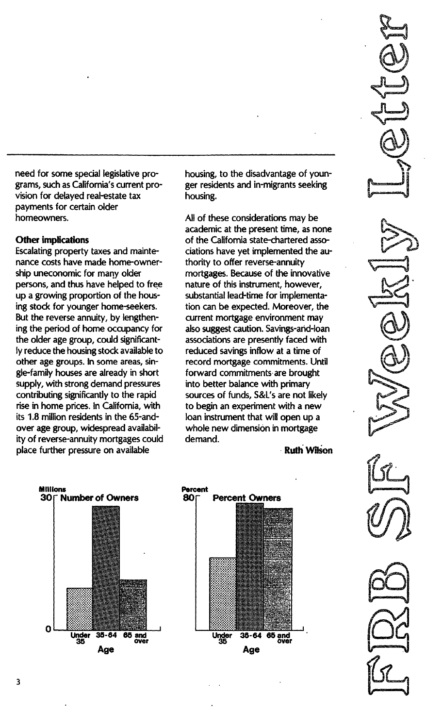need for some special legislative programs, such as California's current provision for delayed real-estate tax payments for certain older homeowners.

#### Other implications

Escalating property taxes and maintenance costs have made home-ownership uneconomic for many older persons, and thus have helped to free up a growing proportion of the housing stock for younger home-seekers. But the reverse annuity, by lengthening the period of home occupancy for the older age group, could significantly reduce the housing stock available to other age groups. In some areas, single-family houses are already in short supply, with strong demand pressures contributing significantly to the rapid rise in home prices. In California, with its 1.8 million residents in the 65-andover age group, widespread availability of reverse-annuity mortgages could place further pressure on available

housing, to the disadvantage of younger residents and in-migrants seeking housing.

All of these considerations may be academic at the present time, as none of the California state-chartered associations have yet implemented the authority to offer reverse-annuity mortgages. Because of the innovative nature of this instrument, however, substantial lead-time for implementation can be expected. Moreover, the current mortgage environment may also suggest caution. Savings-and-Ioan associations are presently faced with reduced savings inflow at a time of record mortgage commitments. Until forward commitments are brought into better balance with primary sources of funds, S&L's are not likely to begin an experiment with a new loan instrument that will open up a whole new dimension in mortgage demand.

**Ruth Wilson**